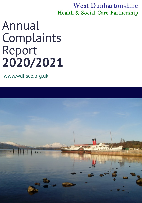West Dunbartonshire Health & Social Care Partnership

Annual Complaints Report **2020/2021**

### www.wdhscp.org.uk

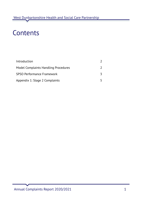Annual Complaints Report 2020/2021 1

### Contents



Introduction

Model Complaints Handling Procedures

SPSO Performance Framework

Appendix 1: Stage 2 Complaints

2 2

3

5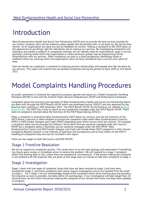### Introduction

West Dunbartonshire Health and Social Care Partnership (HSCP) aims to provide the best services possible for our citizens, however there will be instances where people feel dissatisfied with, or let down by, the service they receive. As an organisation we value any and all feedback we receive. Making a complaint to the HSCP gives us the opportunity to put things right for individuals and to improve our services. By investigating complaints and looking at any trends or patterns in complaints received, we can identify areas for improvement, gaps in service provision, training needs within the organisation or where particular groups may be experiencing similar dissatisfaction with our services. Often complaints can give us a fresh perspective: identifying issues or problems which we, working within the organisation, have not fully considered from a service user's point of view.

How we handle our complaints is essential to restoring positive relationships with people who feel let down by our services. This report will outline how we handled complaints during the period 1st April 2020 to 31st March

#### West Dunbartonshire Health and Social Care Partnership



# Model Complaints Handling Procedures

All public authorities in Scotland are required to produce, operate and report on a Model Complaints Handling Procedure (MCHP) in line with the Scottish Public Services Ombudsman's MCHP and Performance Framework.

Complaints about the functions and operation of West Dunbartonshire Health and Social Care Partnership Board are dealt with through the HSCP Board's MCHP which was developed during 2020/21 and was approved by the Board at their meeting on 26th November 2020. The HSCP Board's MCHP can be found on our website at **HSCP** Board MCHP. The HSCP has a duty to report on any [complaints](http://www.wdhscp.org.uk/media/2405/wdhscp-complaints-procedure-april-2021.pdf) managed under the HSCP Board's MCHP. There were no complaints received about the functions of the HSCP Board during 2020/21.

When a complaint is received by West Dunbartonshire HSCP about our services, and not the functions of the HSCP Board, a decision is taken whether to process the complaint under either West Dunbartonshire Council's MHCP or NHS Greater Glasgow and Clyde's MHCP depending upon which service areas are covered. For example a complaint about service provided by Children's Social Work Services would be managed under the Council's MCHP but a complaint about a Psychiatry service would be managed under the NHS MCHP. West Dunbartonshire Council and NHS Greater Glasgow and Clyde will include these HSCP complaints in their Annual Complaints Reports however in the interests of openness and transparency and to fully reflect on the HSCP's handling of complaints they will also be included in this report.

There are two stages to both the Council and NHS MCHPs:

### Stage 1 Frontline Resolution

We aim to respond to complaints quickly. This could mean an on-the-spot apology and explanation if something has clearly gone wrong, or immediate action to resolve the problem. We will respond to a stage 1 complaint within five working days or less, unless there are exceptional circumstances. If the person making the complaint is not satisfied with the response they are given at this stage, they can choose to take their complaint to stage 2.

### Stage 2 Investigation

Stage 2 deals with two types of complaint: those that have not been resolved at stage 1 and have been escalated to stage 2; and those complaints that clearly require investigation and so are handled from the onset as stage 2. For a stage 2 we will acknowledge receipt of the complaint within three working days and provide a full response as soon as possible, normally within 20 working days. If our investigation will take longer than 20 working days, we will inform the person making the complaint of our revised time limits and keep them updated on progress.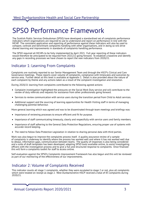The Scottish Public Services Ombudsman (SPSO) have developed a standardised set of complaints performance indicators which organisations are required to use to understand and report on performance in line with the MCHP. The consistent application and reporting of performance against these indicators will also be used to compare, contrast and benchmark complaints handling with other organisations, and in doing so will drive shared learning and improvements in standards of complaints handling performance.

The SPSO required all MCHPs to be fully implemented by April 2021. Full year reporting of these indicators would therefore be anticipated to be required from 2021/22 going forward. To establish a baseline and identify any gaps in recording processes we have chosen to report the new indicators from 2020/21.

#### West Dunbartonshire Health and Social Care Partnership



#### Indicator 1: Learning From Complaints

Complaints are routinely reported to our Senior Management Team and through the HSCP's Clinical and Care Governance meetings. These reports cover volume of complaints, compliance with timescales and outcomes by service area. Further detail at this level is available at Appendix 1. Detail is also provided about the nature of each complaint by theme and any actions taken as a result of the complaint investigation and resolution.

- Importance of reviewing processes to ensure efficient and fit for purpose.
- Importance of staff communicating timeously, clearly and respectfully with service users and family members.  $\bullet$
- Importance of staff adhering to the General Data Protection Regulations, ensuring proper use of systems with accurate record keeping.
- The need to follow Data Protection Legislation in relation to sharing personal data with third parties.

During 2020/21 learning from complaints contributed to the following agreed actions:

- Complaint investigation highlighted the pressures on the Social Work Duty service and will contribute to the review of duty referrals and requests for assistance from other professionals going forward.
- Services to review communication with service users during the transition period from Child to Adult services.
- Additional support and the sourcing of learning opportunities for Health Visiting staff in terms of managing challenging parental behaviour.

More general learning which was agreed and was to be disseminated through team meetings and briefings was:

Work was also begun to improve the complaints process itself. A quality assurance review of a sample of complaints is underway to identify where the process has worked well and where it has not worked well due to delays, information gaps, communication between teams. The quality of responses is also being considered and a suite of draft templates has been developed, adapting SPSO tools available online, to assist investigating officers with the investigation process and to give a full and structured response to complaints. Once finalised this will form a complaints toolkit for staff to access online.

Self-evaluation against the SPSO's Complaints Improvement Framework has also begun and this will be reviewed as part of our monitoring of the effectiveness of our improvements.

#### Indicator 2: Volume of Complaints Received

This indicator counts all stage 1 complaints, whether they were escalated to stage 2 or not, plus all complaints which were treated on receipt as stage 2. West Dunbartonshire HSCP received a total of 83 complaints during 2020/21.

## SPSO Performance Framework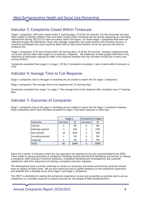#### West Dunbartonshire Health and Social Care Partnership



Stage 1 complaints: 34% were closed within 5 working days, 19 of the 56 received. For the remainder we have been unable to identify whether they have been closed within timescale and we will be improving our recording mechanisms during 2021/22 to more accurately report this figure. For those stage 1 complaints that were not referred through the Information Team, who manage complaints, but made directly with frontline services, it would be anticipated that most would be dealt with as they arose however we do not yet have the data to evidence this.

Stage 2 complaints: 47% were closed within 20 working days, 14 of the 30 received. Complex complaints that cut across services often take longer to co-ordinate a response. We endeavour to keep people informed of any extension to timescales required to make a full response however this has not been carried out in every case during 2020/21.

Complaints escalated from stage 1 to stage 2: Of the 3 complaints escalated, 2 were closed within timescale i.e. 67%

#### Indicator 3: Complaints Closed Within Timescale

#### Indicator 4: Average Time to Full Response

Stage 1 complaints: Due to the gaps in recording we are unable to report this for stage 1 complaints.

Stage 2 complaints: The average time to full response was 23 working days.

Complaints escalated from stage 1 to stage 2: The average time to full response after escalation was 17 working days.

#### Indicator 5: Outcomes of Complaints

Stage 1 complaints: Due to the gaps in recording we are unable to report this for stage 1 complaints however those complaints which have not been escalated to stage 2 have been resolved in some way.

|                   |               | Stage 2 |        | <b>Escalated to Stage 2</b> |  |
|-------------------|---------------|---------|--------|-----------------------------|--|
| Outcome           | <b>Number</b> | %       | Number | %                           |  |
| Upheld            |               | 3%      |        | 0%                          |  |
| Partially Upheld  |               | 23%     | 2.     | 67%                         |  |
| <b>Not Upheld</b> | 18            | 60%     |        | 33%                         |  |
| Unsubstantiated   | 2.            | 7%      |        | 0%                          |  |
| Ongoing           |               | 7%      |        | 0%                          |  |

| <b>WEBB</b> | 30<br>na Tan | 100% |  | <b>Contract Contract State</b> |
|-------------|--------------|------|--|--------------------------------|
|-------------|--------------|------|--|--------------------------------|

There are a further 3 indicators which are not required to be reported on but are recommended by the SPSO. These relate to raising awareness of complaints handling, lessons learned and identifying any barriers to making a complaint; staff training in frontline resolution, complaints handling and investigations; and customer satisfaction with their experience of making a complaint and their response.

The development work currently underway to review our processes and online and training resources should have an impact on these areas. We are also exploring ways to gather feedback on the complaints experience and whether this is feasible across both stage 1 and stage 2 complaints.

The HSCP is committed to making the complaints experience as easy and accessible as possible and to use our complaints as a valuable resource to improve services for the people of West Dunbartonshire.